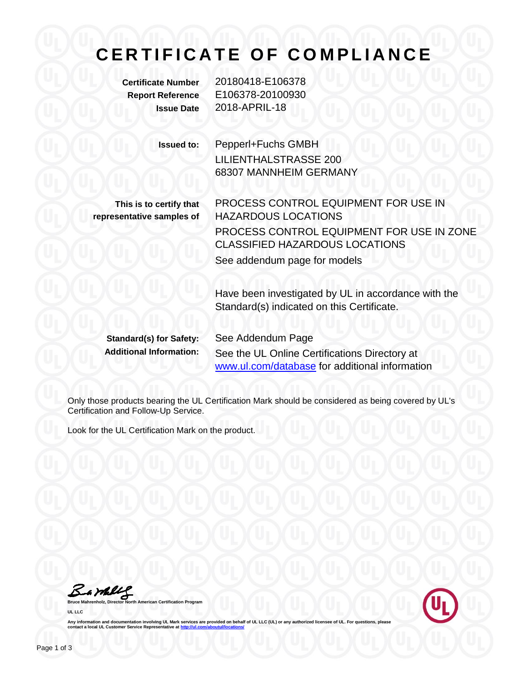## **CERTIFICATE OF COMPLIANCE**

**Certificate Number** 20180418-E106378 **Report Reference** E106378-20100930 **Issue Date** 2018-APRIL-18

**Issued to:** Pepperl+Fuchs GMBH

LILIENTHALSTRASSE 200 68307 MANNHEIM GERMANY

**This is to certify that representative samples of**

PROCESS CONTROL EQUIPMENT FOR USE IN HAZARDOUS LOCATIONS PROCESS CONTROL EQUIPMENT FOR USE IN ZONE CLASSIFIED HAZARDOUS LOCATIONS See addendum page for models

Have been investigated by UL in accordance with the Standard(s) indicated on this Certificate.

**Standard(s) for Safety:** See Addendum Page

**Additional Information:** See the UL Online Certifications Directory at [www.ul.com/database](http://www.ul.com/database) for additional information

Only those products bearing the UL Certification Mark should be considered as being covered by UL's Certification and Follow-Up Service.

Look for the UL Certification Mark on the product.

Bambly

**American Certification Program UL LLC**



Any information and documentation involving UL Mark services are provided on behalf of UL LLC (UL) or any authorized licensee of UL. For questions, please<br>contact a local UL Customer Service Representative at <u>http://ul.co</u>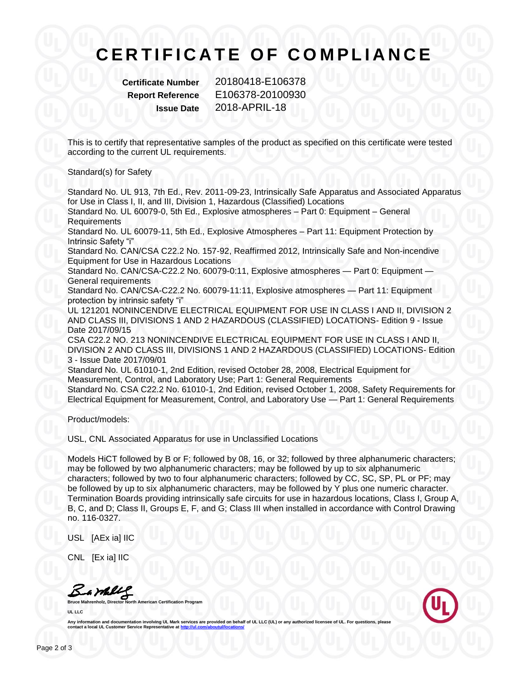## **C E R T I F I C A T E O F C O M P L I A N C E**

**Certificate Number** 20180418-E106378 **Report Reference** E106378-20100930 **Issue Date** 2018-APRIL-18

This is to certify that representative samples of the product as specified on this certificate were tested according to the current UL requirements.

Standard(s) for Safety

Standard No. UL 913, 7th Ed., Rev. 2011-09-23, Intrinsically Safe Apparatus and Associated Apparatus for Use in Class I, II, and III, Division 1, Hazardous (Classified) Locations

Standard No. UL 60079-0, 5th Ed., Explosive atmospheres – Part 0: Equipment – General **Requirements** 

Standard No. UL 60079-11, 5th Ed., Explosive Atmospheres – Part 11: Equipment Protection by Intrinsic Safety "i"

Standard No. CAN/CSA C22.2 No. 157-92, Reaffirmed 2012, Intrinsically Safe and Non-incendive Equipment for Use in Hazardous Locations

Standard No. CAN/CSA-C22.2 No. 60079-0:11, Explosive atmospheres — Part 0: Equipment — General requirements

Standard No. CAN/CSA-C22.2 No. 60079-11:11, Explosive atmospheres — Part 11: Equipment protection by intrinsic safety "i"

UL 121201 NONINCENDIVE ELECTRICAL EQUIPMENT FOR USE IN CLASS I AND II, DIVISION 2 AND CLASS III, DIVISIONS 1 AND 2 HAZARDOUS (CLASSIFIED) LOCATIONS- Edition 9 - Issue Date 2017/09/15

CSA C22.2 NO. 213 NONINCENDIVE ELECTRICAL EQUIPMENT FOR USE IN CLASS I AND II, DIVISION 2 AND CLASS III, DIVISIONS 1 AND 2 HAZARDOUS (CLASSIFIED) LOCATIONS- Edition 3 - Issue Date 2017/09/01

Standard No. UL 61010-1, 2nd Edition, revised October 28, 2008, Electrical Equipment for Measurement, Control, and Laboratory Use; Part 1: General Requirements

Standard No. CSA C22.2 No. 61010-1, 2nd Edition, revised October 1, 2008, Safety Requirements for Electrical Equipment for Measurement, Control, and Laboratory Use — Part 1: General Requirements

Product/models:

USL, CNL Associated Apparatus for use in Unclassified Locations

Models HiCT followed by B or F; followed by 08, 16, or 32; followed by three alphanumeric characters; may be followed by two alphanumeric characters; may be followed by up to six alphanumeric characters; followed by two to four alphanumeric characters; followed by CC, SC, SP, PL or PF; may be followed by up to six alphanumeric characters, may be followed by Y plus one numeric character. Termination Boards providing intrinsically safe circuits for use in hazardous locations, Class I, Group A, B, C, and D; Class II, Groups E, F, and G; Class III when installed in accordance with Control Drawing no. 116-0327.

USL [AEx ia] IIC

CNL [Ex ia] IIC

Barbley

**Bruce Mahrenholz, Director North American Certification Program UL LLC**



Any information and documentation involving UL Mark services are provided on behalf of UL LLC (UL) or any authorized licensee of UL. For questions, please<br>contact a local UL Customer Service Representative at <u>http://ul.co</u>